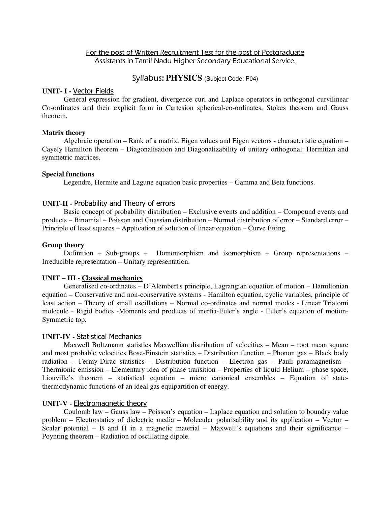# For the post of Written Recruitment Test for the post of Postgraduate Assistants in Tamil Nadu Higher Secondary Educational Service.

# Syllabus: **PHYSICS** (Subject Code: P04)

# **UNIT- I -** Vector Fields

General expression for gradient, divergence curl and Laplace operators in orthogonal curvilinear Co-ordinates and their explicit form in Cartesion spherical-co-ordinates, Stokes theorem and Gauss theorem.

# **Matrix theory**

Algebraic operation – Rank of a matrix. Eigen values and Eigen vectors - characteristic equation – Cayely Hamilton theorem – Diagonalisation and Diagonalizability of unitary orthogonal. Hermitian and symmetric matrices.

# **Special functions**

Legendre, Hermite and Lagune equation basic properties – Gamma and Beta functions.

# **UNIT-II -** Probability and Theory of errors

Basic concept of probability distribution – Exclusive events and addition – Compound events and products – Binomial – Poisson and Guassian distribution – Normal distribution of error – Standard error – Principle of least squares – Application of solution of linear equation – Curve fitting.

# **Group theory**

Definition – Sub-groups – Homomorphism and isomorphism – Group representations – Irreducible representation – Unitary representation.

### **UNIT – III - Classical mechanics**

Generalised co-ordinates – D'Alembert's principle, Lagrangian equation of motion – Hamiltonian equation – Conservative and non-conservative systems - Hamilton equation, cyclic variables, principle of least action – Theory of small oscillations – Normal co-ordinates and normal modes - Linear Triatomi molecule - Rigid bodies -Moments and products of inertia-Euler's angle - Euler's equation of motion-Symmetric top.

# **UNIT-IV -** Statistical Mechanics

Maxwell Boltzmann statistics Maxwellian distribution of velocities – Mean – root mean square and most probable velocities Bose-Einstein statistics – Distribution function – Phonon gas – Black body radiation – Fermy-Dirac statistics – Distribution function – Electron gas – Pauli paramagnetism – Thermionic emission – Elementary idea of phase transition – Properties of liquid Helium – phase space, Liouville's theorem – statistical equation – micro canonical ensembles – Equation of statethermodynamic functions of an ideal gas equipartition of energy.

# **UNIT-V -** Electromagnetic theory

Coulomb law – Gauss law – Poisson's equation – Laplace equation and solution to boundry value problem – Electrostatics of dielectric media – Molecular polarisability and its application – Vector – Scalar potential – B and H in a magnetic material – Maxwell's equations and their significance – Poynting theorem – Radiation of oscillating dipole.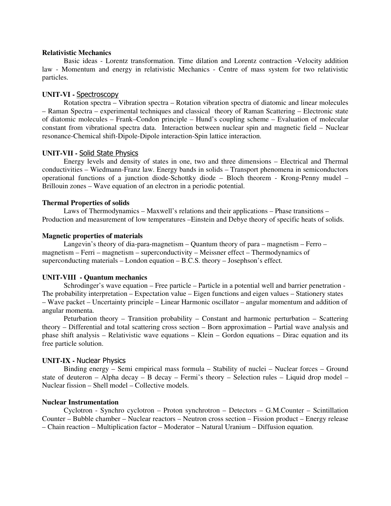### **Relativistic Mechanics**

Basic ideas - Lorentz transformation. Time dilation and Lorentz contraction -Velocity addition law - Momentum and energy in relativistic Mechanics - Centre of mass system for two relativistic particles.

### **UNIT-VI -** Spectroscopy

 Rotation spectra – Vibration spectra – Rotation vibration spectra of diatomic and linear molecules – Raman Spectra – experimental techniques and classical theory of Raman Scattering – Electronic state of diatomic molecules – Frank–Condon principle – Hund's coupling scheme – Evaluation of molecular constant from vibrational spectra data. Interaction between nuclear spin and magnetic field – Nuclear resonance-Chemical shift-Dipole-Dipole interaction-Spin lattice interaction.

#### **UNIT-VII -** Solid State Physics

Energy levels and density of states in one, two and three dimensions – Electrical and Thermal conductivities – Wiedmann-Franz law. Energy bands in solids – Transport phenomena in semiconductors operational functions of a junction diode-Schottky diode – Bloch theorem - Krong-Penny mudel – Brillouin zones – Wave equation of an electron in a periodic potential.

#### **Thermal Properties of solids**

Laws of Thermodynamics – Maxwell's relations and their applications – Phase transitions – Production and measurement of low temperatures –Einstein and Debye theory of specific heats of solids.

### **Magnetic properties of materials**

Langevin's theory of dia-para-magnetism – Quantum theory of para – magnetism – Ferro – magnetism – Ferri – magnetism – superconductivity – Meissner effect – Thermodynamics of superconducting materials – London equation – B.C.S. theory – Josephson's effect.

### **UNIT-VIII - Quantum mechanics**

Schrodinger's wave equation – Free particle – Particle in a potential well and barrier penetration - The probability interpretation – Expectation value – Eigen functions and eigen values – Stationery states – Wave packet – Uncertainty principle – Linear Harmonic oscillator – angular momentum and addition of angular momenta.

Peturbation theory – Transition probability – Constant and harmonic perturbation – Scattering theory – Differential and total scattering cross section – Born approximation – Partial wave analysis and phase shift analysis – Relativistic wave equations – Klein – Gordon equations – Dirac equation and its free particle solution.

### **UNIT-IX -** Nuclear Physics

Binding energy – Semi empirical mass formula – Stability of nuclei – Nuclear forces – Ground state of deuteron – Alpha decay – B decay – Fermi's theory – Selection rules – Liquid drop model – Nuclear fission – Shell model – Collective models.

#### **Nuclear Instrumentation**

Cyclotron - Synchro cyclotron – Proton synchrotron – Detectors – G.M.Counter – Scintillation Counter – Bubble chamber – Nuclear reactors – Neutron cross section – Fission product – Energy release – Chain reaction – Multiplication factor – Moderator – Natural Uranium – Diffusion equation.